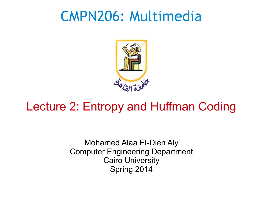### CMPN206: Multimedia



#### Lecture 2: Entropy and Huffman Coding

Mohamed Alaa El-Dien Aly Computer Engineering Department Cairo University Spring 2014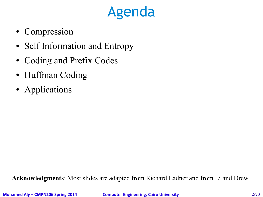## Agenda

- Compression
- Self Information and Entropy
- Coding and Prefix Codes
- Huffman Coding
- Applications

**Acknowledgments**: Most slides are adapted from Richard Ladner and from Li and Drew.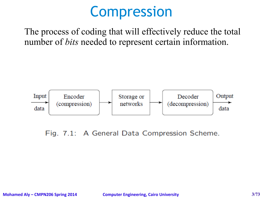### Compression

The process of coding that will effectively reduce the total number of *bits* needed to represent certain information.



Fig. 7.1: A General Data Compression Scheme.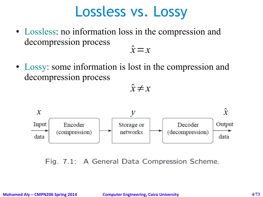#### Lossless vs. Lossy

- Lossless: no information loss in the compression and decompression process  $\hat{x} = x$
- Lossy: some information is lost in the compression and decompression process

 $\hat{x} \neq x$ 



Fig. 7.1: A General Data Compression Scheme.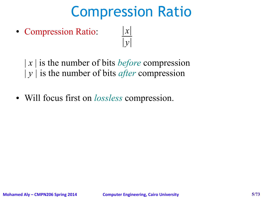## Compression Ratio

- Compression Ratio: ∣*x*∣ ∣*y*∣
	- | *x* | is the number of bits *before* compression | *y |* is the number of bits *after* compression
- Will focus first on *lossless* compression.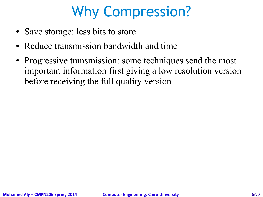## Why Compression?

- Save storage: less bits to store
- Reduce transmission bandwidth and time
- Progressive transmission: some techniques send the most important information first giving a low resolution version before receiving the full quality version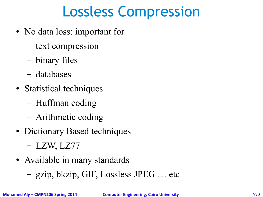## Lossless Compression

- No data loss: important for
	- text compression
	- binary files
	- databases
- Statistical techniques
	- Huffman coding
	- Arithmetic coding
- Dictionary Based techniques
	- LZW, LZ77
- Available in many standards
	- gzip, bkzip, GIF, Lossless JPEG … etc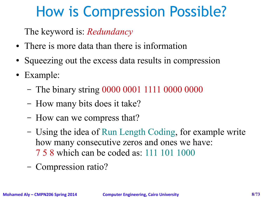## How is Compression Possible?

The keyword is: *Redundancy*

- There is more data than there is information
- Squeezing out the excess data results in compression
- Example:
	- The binary string 0000 0001 1111 0000 0000
	- How many bits does it take?
	- How can we compress that?
	- Using the idea of Run Length Coding, for example write how many consecutive zeros and ones we have: 7 5 8 which can be coded as: 111 101 1000
	- Compression ratio?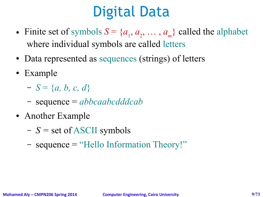## Digital Data

- Finite set of symbols  $S = \{a_1, a_2, ..., a_m\}$  called the alphabet where individual symbols are called letters
- Data represented as sequences (strings) of letters
- Example
	- $-S = \{a, b, c, d\}$
	- sequence = *abbcaabcdddcab*
- Another Example
	- *S =* set of ASCII symbols
	- sequence = "Hello Information Theory!"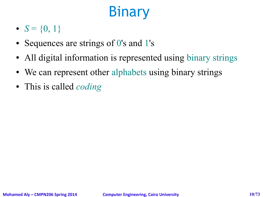# **Binary**

- $S = \{0, 1\}$
- Sequences are strings of 0's and 1's
- All digital information is represented using binary strings
- We can represent other alphabets using binary strings
- This is called *coding*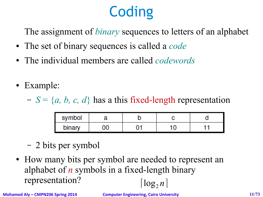# **Coding**

The assignment of *binary* sequences to letters of an alphabet

- The set of binary sequences is called a *code*
- The individual members are called *codewords*
- Example:

 $S = \{a, b, c, d\}$  has a this fixed-length representation

| symbol |            |  |  |
|--------|------------|--|--|
| binary | $\sqrt{2}$ |  |  |

- 2 bits per symbol
- How many bits per symbol are needed to represent an alphabet of *n* symbols in a fixed-length binary representation?  $\lceil \log_2 n \rceil$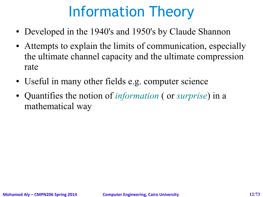## Information Theory

- Developed in the 1940's and 1950's by Claude Shannon
- Attempts to explain the limits of communication, especially the ultimate channel capacity and the ultimate compression rate
- Useful in many other fields e.g. computer science
- Quantifies the notion of *information* ( or *surprise*) in a mathematical way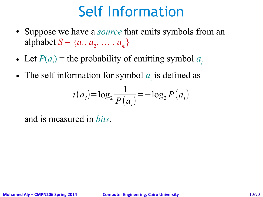## Self Information

- Suppose we have a *source* that emits symbols from an alphabet  $S = \{a_1, a_2, ..., a_m\}$
- Let  $P(a_i)$  = the probability of emitting symbol  $a_i$
- The self information for symbol  $a_i$  is defined as

$$
i(a_i) = \log_2 \frac{1}{P(a_i)} = -\log_2 P(a_i)
$$

and is measured in *bits*.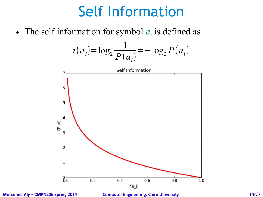## Self Information

• The self information for symbol  $a_i$  is defined as

$$
i(a_i) = \log_2 \frac{1}{P(a_i)} = -\log_2 P(a_i)
$$



**Mohamed Aly – CMPN206 Spring 2014 Computer Engineering, Cairo University 14/73**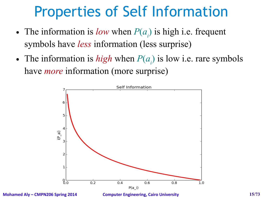## Properties of Self Information

- The information is *low* when  $P(a_i)$  is high i.e. frequent symbols have *less* information (less surprise)
- The information is *high* when  $P(a_i)$  is low i.e. rare symbols have *more* information (more surprise)



**Mohamed Aly – CMPN206 Spring 2014 Computer Engineering, Cairo University 15/73**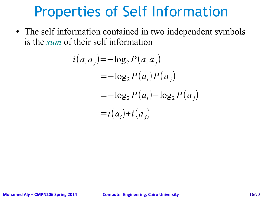### Properties of Self Information

• The self information contained in two independent symbols is the *sum* of their self information

$$
i(a_i a_j) = -\log_2 P(a_i a_j)
$$
  
=  $-\log_2 P(a_i) P(a_j)$   
=  $-\log_2 P(a_i) - \log_2 P(a_j)$   
=  $i(a_i) + i(a_j)$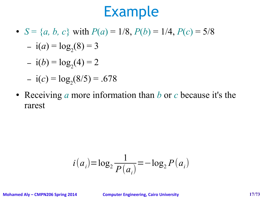#### Example

•  $S = \{a, b, c\}$  with  $P(a) = 1/8$ ,  $P(b) = 1/4$ ,  $P(c) = 5/8$ 

$$
- i(a) = log_2(8) = 3
$$

$$
- i(b) = log2(4) = 2
$$

$$
- i(c) = \log_2(8/5) = .678
$$

● Receiving *a* more information than *b* or *c* because it's the rarest

$$
i(a_i) = \log_2 \frac{1}{P(a_i)} = -\log_2 P(a_i)
$$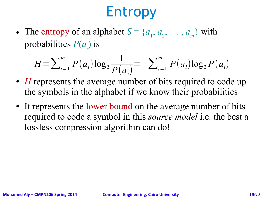## Entropy

• The entropy of an alphabet  $S = \{a_1, a_2, ..., a_m\}$  with probabilities *P*(*a<sup>i</sup>* ) is

$$
H = \sum_{i=1}^{m} P(a_i) \log_2 \frac{1}{P(a_i)} = -\sum_{i=1}^{m} P(a_i) \log_2 P(a_i)
$$

- *H* represents the average number of bits required to code up the symbols in the alphabet if we know their probabilities
- It represents the lower bound on the average number of bits required to code a symbol in this *source model* i.e. the best a lossless compression algorithm can do!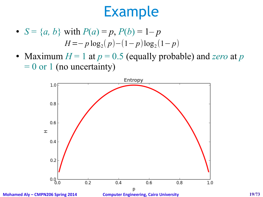### Example

- $S = \{a, b\}$  with  $P(a) = p$ ,  $P(b) = 1-p$  $H = -p \log_2(p) - (1-p) \log_2(1-p)$
- Maximum  $H = 1$  at  $p = 0.5$  (equally probable) and *zero* at  $p$  $= 0$  or 1 (no uncertainty)



**Mohamed Aly – CMPN206 Spring 2014 Computer Engineering, Cairo University 19/73**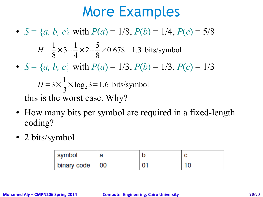#### More Examples

- $S = \{a, b, c\}$  with  $P(a) = 1/8$ ,  $P(b) = 1/4$ ,  $P(c) = 5/8$ •  $S = \{a, b, c\}$  with  $P(a) = 1/3$ ,  $P(b) = 1/3$ ,  $P(c) = 1/3$ this is the worst case. Why?  $H =$ 1 8  $\times$ 3+ 1 4  $\times$ 2+ 5 8  $\times 0.678 = 1.3$  bits/symbol  $H = 3 \times$ 1 3  $\times$ log<sub>2</sub> 3=1.6 bits/symbol
- How many bits per symbol are required in a fixed-length coding?
- 2 bits/symbol

| symbol      | a  |  |
|-------------|----|--|
| binary code | 00 |  |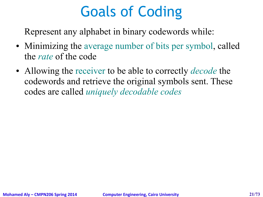## Goals of Coding

Represent any alphabet in binary codewords while:

- Minimizing the average number of bits per symbol, called the *rate* of the code
- Allowing the receiver to be able to correctly *decode* the codewords and retrieve the original symbols sent. These codes are called *uniquely decodable codes*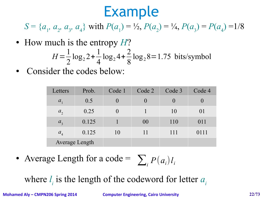### Example

*S* = { $a_1$ ,  $a_2$ ,  $a_3$ ,  $a_4$ } with  $P(a_1) = \frac{1}{2}$ ,  $P(a_2) = \frac{1}{4}$ ,  $P(a_3) = P(a_4) = \frac{1}{8}$ 

• How much is the entropy *H*?

$$
H = \frac{1}{2}\log_2 2 + \frac{1}{4}\log_2 4 + \frac{2}{8}\log_2 8 = 1.75 \text{ bits/symbol}
$$

Consider the codes below:

| Letters               | Prob. | Code 1           | Code 2           | Code 3           | Code 4 |
|-----------------------|-------|------------------|------------------|------------------|--------|
| $a_{1}$               | 0.5   | $\left( \right)$ | $\left( \right)$ | $\left( \right)$ |        |
| $a_{2}$               | 0.25  | $\theta$         |                  | 10               | 01     |
| a <sub>3</sub>        | 0.125 |                  | 00               | 110              | 011    |
| $a_{4}$               | 0.125 | 10               | 11               | 111              | 0111   |
| <b>Average Length</b> |       |                  |                  |                  |        |

• Average Length for a code =  $\sum_{i} P(a_i) l_i$ 

where  $l_i$  is the length of the codeword for letter  $a_i$ 

**Mohamed Aly – CMPN206 Spring 2014 Computer Engineering, Cairo University 22/73**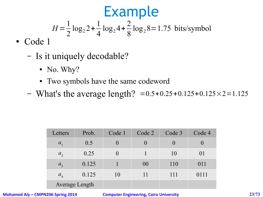- Code 1
	- Is it uniquely decodable?
		- No. Why?
		- Two symbols have the same codeword
	- What's the average length?  $= 0.5 + 0.25 + 0.125 + 0.125 \times 2 = 1.125$

| Letters               | Prob. | Code 1   | Code 2 | Code 3       | Code 4 |
|-----------------------|-------|----------|--------|--------------|--------|
| $a_{1}$               | 0.5   | $\theta$ |        | $\mathbf{0}$ |        |
| $a_{2}$               | 0.25  | $\theta$ |        | 10           | 01     |
| $a_{3}$               | 0.125 |          | 00     | 110          | 011    |
| $a_{4}$               | 0.125 | 10       | 11     | 111          | 0111   |
| <b>Average Length</b> |       |          |        |              |        |

**Mohamed Aly – CMPN206 Spring 2014 Computer Engineering, Cairo University 23/73**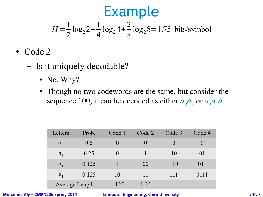- Code 2
	- Is it uniquely decodable?
		- No. Why?
		- Though no two codewords are the same, but consider the sequence 100, it can be decoded as either  $a_2 a_3$  or  $a_2 a_1 a_1$

| Letters               | Prob. | Code 1   | Code 2           | Code 3           | Code 4 |
|-----------------------|-------|----------|------------------|------------------|--------|
| $a_{1}$               | 0.5   | $\theta$ | $\left( \right)$ | $\left( \right)$ |        |
| $a_{2}$               | 0.25  | $\theta$ |                  | 10               | 01     |
| a <sub>3</sub>        | 0.125 |          | 00               | 110              | 011    |
| a <sub>4</sub>        | 0.125 | 10       | 11               | 111              | 0111   |
| <b>Average Length</b> |       | 1.125    | 1.25             |                  |        |

**Mohamed Aly – CMPN206 Spring 2014 Computer Engineering, Cairo University 24/73**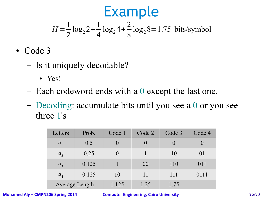- Code 3
	- Is it uniquely decodable?
		- Yes!
	- Each codeword ends with a 0 except the last one.
	- Decoding: accumulate bits until you see a 0 or you see three 1's

| Letters               | Prob. | Code 1   | Code 2 | Code 3           | Code 4 |
|-----------------------|-------|----------|--------|------------------|--------|
| $a_{1}$               | 0.5   | $\theta$ |        | $\left( \right)$ |        |
| $a_{2}$               | 0.25  | $\theta$ |        | 10               | 01     |
| $a_{3}$               | 0.125 |          | 00     | 110              | 011    |
| a <sub>4</sub>        | 0.125 | 10       | 11     | 111              | 0111   |
| <b>Average Length</b> |       | 1.125    | 1.25   | 1.75             |        |

**Mohamed Aly – CMPN206 Spring 2014 Computer Engineering, Cairo University 25/73**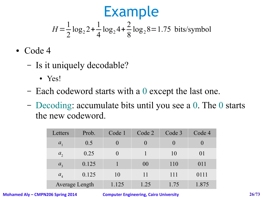- Code 4
	- Is it uniquely decodable?
		- $\bullet$  Yes!
	- Each codeword starts with a 0 except the last one.
	- Decoding: accumulate bits until you see a 0. The 0 starts the new codeword.

| Letters        | Prob.                 | Code 1           | Code 2           | Code 3           | Code 4 |
|----------------|-----------------------|------------------|------------------|------------------|--------|
| $a_{1}$        | 0.5                   |                  | $\left( \right)$ | $\left( \right)$ |        |
| $a_{2}$        | 0.25                  | $\left( \right)$ |                  | 10               | 01     |
| a <sub>3</sub> | 0.125                 |                  | 00               | 110              | 011    |
| $a_{4}$        | 0.125                 | 10               | 11               | 111              | 0111   |
|                | <b>Average Length</b> | 1.125            | 1.25             | 1.75             | 1.875  |

**Mohamed Aly – CMPN206 Spring 2014 Computer Engineering, Cairo University 26/73**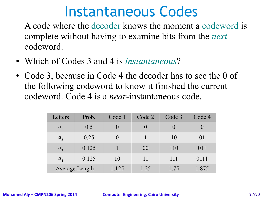#### Instantaneous Codes

A code where the decoder knows the moment a codeword is complete without having to examine bits from the *next* codeword.

- Which of Codes 3 and 4 is *instantaneous*?
- Code 3, because in Code 4 the decoder has to see the 0 of the following codeword to know it finished the current codeword. Code 4 is a *near*-instantaneous code.

| Letters               | Prob. | Code 1           | Code 2           | Code 3   | Code 4       |
|-----------------------|-------|------------------|------------------|----------|--------------|
| $a_{1}$               | 0.5   | $\left( \right)$ | $\left( \right)$ | $\theta$ | $\mathbf{0}$ |
| $a_{2}$               | 0.25  | $\theta$         |                  | 10       | 01           |
| a <sub>3</sub>        | 0.125 |                  | 00               | 110      | 011          |
| a <sub>4</sub>        | 0.125 | 10               | 11               | 111      | 0111         |
| <b>Average Length</b> |       | 1.125            | 1.25             | 1.75     | 1.875        |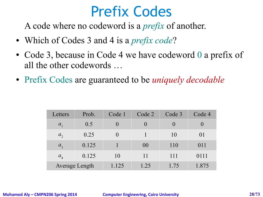A code where no codeword is a *prefix* of another.

- Which of Codes 3 and 4 is a *prefix code*?
- Code 3, because in Code 4 we have codeword 0 a prefix of all the other codewords …
- Prefix Codes are guaranteed to be *uniquely decodable*

| Letters               | Prob. | Code 1           | Code 2           | Code 3           | Code 4 |
|-----------------------|-------|------------------|------------------|------------------|--------|
| $a_{\rm i}$           | 0.5   | $\left( \right)$ | $\left( \right)$ | $\left( \right)$ |        |
| $a_{2}$               | 0.25  |                  |                  | 10               | 01     |
| a <sub>3</sub>        | 0.125 |                  | 00               | 110              | 011    |
| $a_{4}$               | 0.125 | 10               | 11               | 111              | 0111   |
| <b>Average Length</b> |       | 1.125            | 1.25             | 1.75             | 1.875  |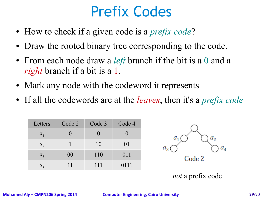- How to check if a given code is a *prefix code*?
- Draw the rooted binary tree corresponding to the code.
- From each node draw a *left* branch if the bit is a 0 and a *right* branch if a bit is a 1.
- Mark any node with the codeword it represents
- If all the codewords are at the *leaves*, then it's a *prefix code*

| Letters        | Code 2 | Code 3 | Code 4 |
|----------------|--------|--------|--------|
| $a_{1}$        |        |        |        |
| a <sub>2</sub> |        | 10     | 01     |
| $a_{3}$        | 00     | 110    | 011    |
| $a_{4}$        | 11     | 111    | 0111   |



*not* a prefix code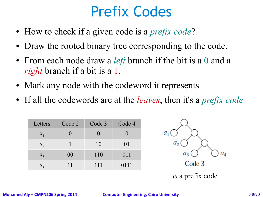- How to check if a given code is a *prefix code*?
- Draw the rooted binary tree corresponding to the code.
- From each node draw a *left* branch if the bit is a 0 and a *right* branch if a bit is a 1.
- Mark any node with the codeword it represents
- If all the codewords are at the *leaves*, then it's a *prefix code*

| Letters                       | Code 2 | Code 3 | Code 4 |
|-------------------------------|--------|--------|--------|
| $a_{1}$                       |        |        |        |
| $a_{2}$                       |        | 10     | 01     |
| $a_{3}$                       | 00     | 110    | 011    |
| $a_{\scriptscriptstyle A}^{}$ | 11     | 111    | 0111   |

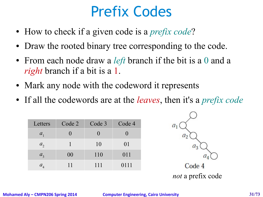- How to check if a given code is a *prefix code*?
- Draw the rooted binary tree corresponding to the code.
- From each node draw a *left* branch if the bit is a 0 and a *right* branch if a bit is a 1.
- Mark any node with the codeword it represents
- If all the codewords are at the *leaves*, then it's a *prefix code*

| Letters            | Code 2 | Code 3 | Code 4 |
|--------------------|--------|--------|--------|
| $a_{1}$            |        |        |        |
| $a_{2}$            |        | 10     | 01     |
| a <sub>3</sub>     | 00     | 110    | 011    |
| $a_{\overline{4}}$ | 11     | 111    | 0111   |

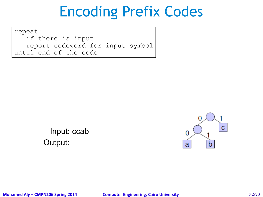repeat: if there is input report codeword for input symbol until end of the code

> Output: Input: ccab

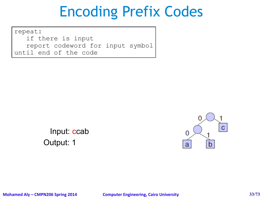repeat: if there is input report codeword for input symbol until end of the code

> Output: 1 Input: ccab

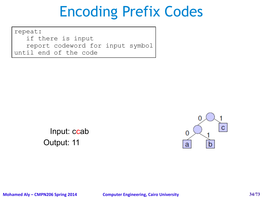repeat: if there is input report codeword for input symbol until end of the code

> Output: 11 Input: ccab

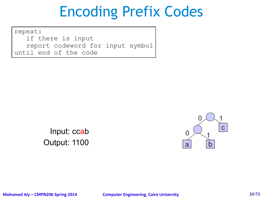repeat: if there is input report codeword for input symbol until end of the code

> Output: 1100 Input: ccab



**Mohamed Aly – CMPN206 Spring 2014 Computer Engineering, Cairo University 35/73**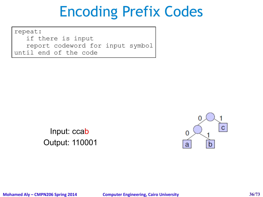repeat: if there is input report codeword for input symbol until end of the code

> Output: 110001 Input: ccab

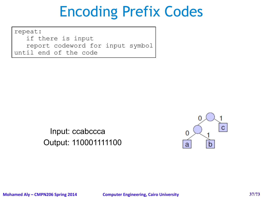repeat: if there is input report codeword for input symbol until end of the code

> Output: 110001111100 Input: ccabccca

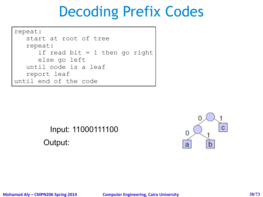```
repeat: 
   start at root of tree
   repeat: 
      if read bit = 1 then go right
      else go left
   until node is a leaf
   report leaf
until end of the code
```
#### Input: 11000111100 Output:

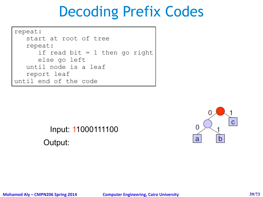```
repeat: 
   start at root of tree
   repeat: 
      if read bit = 1 then go right
      else go left
   until node is a leaf
   report leaf
until end of the code
```
#### Input: 11000111100 Output:

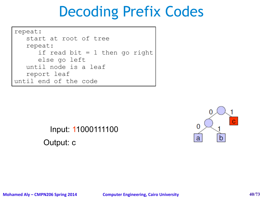```
repeat: 
   start at root of tree
   repeat: 
      if read bit = 1 then go right
      else go left
   until node is a leaf
   report leaf
until end of the code
```
#### Input: 11000111100 Output: c

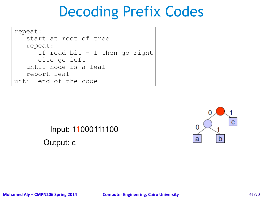```
repeat: 
   start at root of tree
   repeat: 
      if read bit = 1 then go right
      else go left
   until node is a leaf
   report leaf
until end of the code
```
#### Input: 11000111100 Output: c

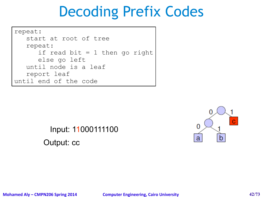```
repeat: 
   start at root of tree
   repeat: 
      if read bit = 1 then go right
      else go left
   until node is a leaf
   report leaf
until end of the code
```
#### Input: 11000111100 Output: cc

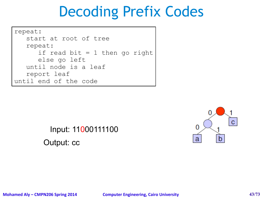```
repeat: 
   start at root of tree
   repeat: 
      if read bit = 1 then go right
      else go left
   until node is a leaf
   report leaf
until end of the code
```
#### Input: 11000111100 Output: cc

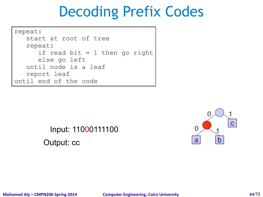```
repeat: 
   start at root of tree
   repeat: 
      if read bit = 1 then go right
      else go left
   until node is a leaf
   report leaf
until end of the code
```
#### Input: 11000111100 Output: cc

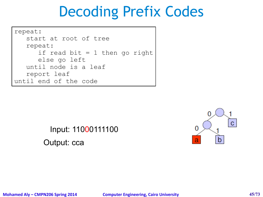```
repeat: 
   start at root of tree
   repeat: 
      if read bit = 1 then go right
      else go left
   until node is a leaf
   report leaf
until end of the code
```
#### Input: 11000111100 Output: cca

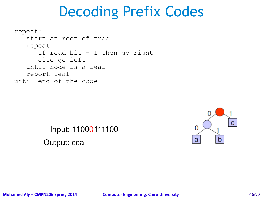```
repeat: 
   start at root of tree
   repeat: 
      if read bit = 1 then go right
      else go left
   until node is a leaf
   report leaf
until end of the code
```
#### Input: 11000111100 Output: cca

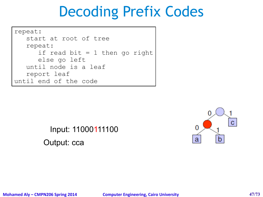```
repeat: 
   start at root of tree
   repeat: 
      if read bit = 1 then go right
      else go left
   until node is a leaf
   report leaf
until end of the code
```
#### Input: 11000111100 Output: cca

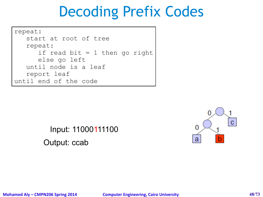```
repeat: 
   start at root of tree
   repeat: 
      if read bit = 1 then go right
      else go left
   until node is a leaf
   report leaf
until end of the code
```
#### Input: 11000111100 Output: ccab

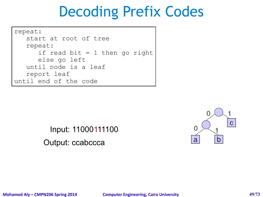```
repeat: 
   start at root of tree
   repeat: 
      if read bit = 1 then go right
      else go left
   until node is a leaf
   report leaf
until end of the code
```
Input: 11000111100 Output: ccabccca

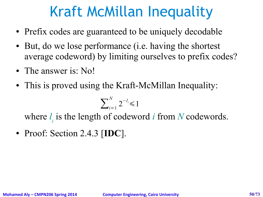### Kraft McMillan Inequality

- Prefix codes are guaranteed to be uniquely decodable
- But, do we lose performance (i.e. having the shortest average codeword) by limiting ourselves to prefix codes?
- The answer is: No!
- This is proved using the Kraft-McMillan Inequality:

$$
\sum\nolimits_{i=1}^N 2^{-l_i} \leq 1
$$

where  $l_i$  is the length of codeword *i* from *N* codewords.

● Proof: Section 2.4.3 [**IDC**].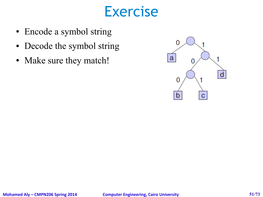#### Exercise

- Encode a symbol string
- Decode the symbol string
- Make sure they match!

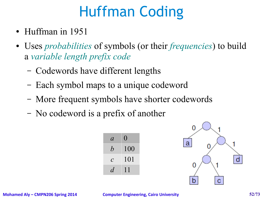### Huffman Coding

- Huffman in 1951
- Uses *probabilities* of symbols (or their *frequencies*) to build a *variable length prefix code*
	- Codewords have different lengths
	- Each symbol maps to a unique codeword
	- More frequent symbols have shorter codewords
	- No codeword is a prefix of another



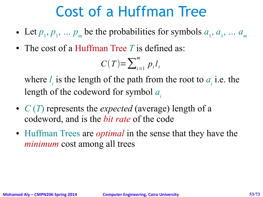### Cost of a Huffman Tree

- Let  $p_1, p_1, \ldots p_m$  be the probabilities for symbols  $a_1, a_1, \ldots a_m$
- The cost of a Huffman Tree T is defined as:

$$
C(T) = \sum_{i=1}^{m} p_i l_i
$$

where  $l_i$  is the length of the path from the root to  $a_i$  i.e. the length of the codeword for symbol *a<sup>i</sup>*

- *C* (*T*) represents the *expected* (average) length of a codeword, and is the *bit rate* of the code
- Huffman Trees are *optimal* in the sense that they have the *minimum* cost among all trees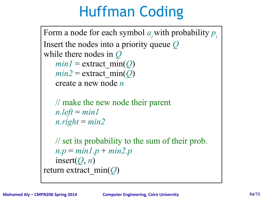### Huffman Coding

Form a node for each symbol *ai*with probability *p<sup>i</sup>* Insert the nodes into a priority queue *Q* while there nodes in *Q*  $min1 =$  extract  $min(Q)$  $min2$  = extract  $min(Q)$ create a new node *n* // make the new node their parent  $n.left = min1$  $n. right = min2$ // set its probability to the sum of their prob. *n.p* = *min1.p* + *min2.p*  $insert(Q, n)$ return extract\_min(*Q*)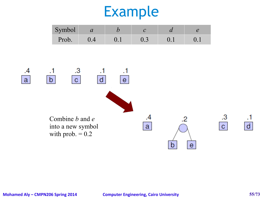| Symbol | $\boldsymbol{\mathcal{U}}$ |     |  |
|--------|----------------------------|-----|--|
| Prob.  |                            | 0.3 |  |

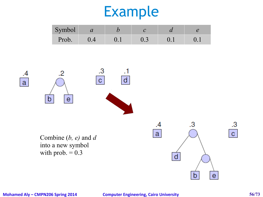| Symbol | $\boldsymbol{u}$ |     |  |
|--------|------------------|-----|--|
| Prob.  |                  | U.3 |  |



**Mohamed Aly – CMPN206 Spring 2014 Computer Engineering, Cairo University 56/73**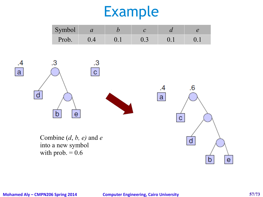| Symbol | $\boldsymbol{\mathcal{U}}$ |     |  |
|--------|----------------------------|-----|--|
| Prob.  |                            | U.3 |  |



#### **Mohamed Aly – CMPN206 Spring 2014 Computer Engineering, Cairo University 57/73**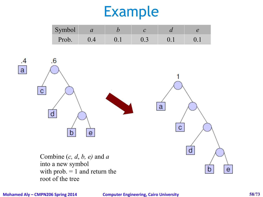| Symbol | $\boldsymbol{\mathcal{U}}$ |       |  |
|--------|----------------------------|-------|--|
| Prob.  |                            | U . J |  |



into a new symbol with prob.  $= 1$  and return the root of the tree

**Mohamed Aly – CMPN206 Spring 2014 Computer Engineering, Cairo University 58/73**

 $.4$ 

 $\mathbf{a}$ 

 $\mathbf e$ 

D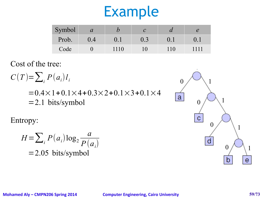| Symbol | $\mathcal{a}$ |     |     | $\boldsymbol{\mathcal{U}}$ |     |
|--------|---------------|-----|-----|----------------------------|-----|
| Prob.  |               |     | 0.3 | $0.1\,$                    |     |
| Code   |               | 110 |     |                            | 111 |

Cost of the tree:

$$
C(T) = \sum_{i} P(a_i) l_i
$$
  
= 0.4 × 1 + 0.1 × 4 + 0.3 × 2 + 0.1 × 3 + 0.1 × 4  
= 2.1 bits/symbol

Entropy:

$$
H = \sum_{i} P(a_i) \log_2 \frac{a}{P(a_i)}
$$
  
= 2.05 bits/symbol

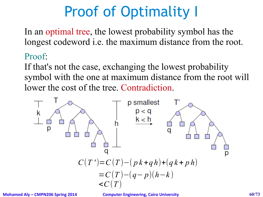# Proof of Optimality I

In an optimal tree, the lowest probability symbol has the longest codeword i.e. the maximum distance from the root.

#### Proof:

If that's not the case, exchanging the lowest probability symbol with the one at maximum distance from the root will lower the cost of the tree. Contradiction.

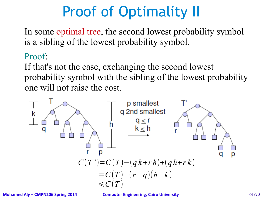# Proof of Optimality II

In some optimal tree, the second lowest probability symbol is a sibling of the lowest probability symbol.

#### Proof:

If that's not the case, exchanging the second lowest probability symbol with the sibling of the lowest probability one will not raise the cost.

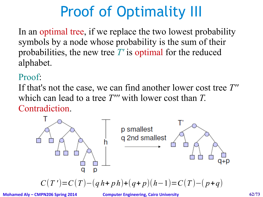# Proof of Optimality III

In an optimal tree, if we replace the two lowest probability symbols by a node whose probability is the sum of their probabilities, the new tree *T'* is optimal for the reduced alphabet.

#### Proof:

If that's not the case, we can find another lower cost tree *T''* which can lead to a tree *T'''* with lower cost than *T*. Contradiction.



$$
C(T')=C(T)-(q\,h+p\,h)+(q+p)(h-1)=C(T)-(p+q)
$$

**Mohamed Aly – CMPN206 Spring 2014 Computer Engineering, Cairo University 62/73**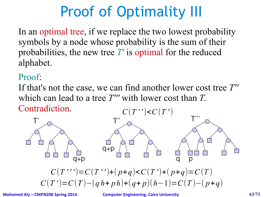# Proof of Optimality III

In an optimal tree, if we replace the two lowest probability symbols by a node whose probability is the sum of their probabilities, the new tree *T'* is optimal for the reduced alphabet.

#### Proof:

If that's not the case, we can find another lower cost tree *T''* which can lead to a tree *T'''* with lower cost than *T*. Contradiction.  $C(T'') < C(T')$ 



 $C(T'') = C(T'') + (p+q) < C(T') + (p+q) = C(T)$  $C(T') = C(T) - (q h + p h) + (q + p)(h - 1) = C(T) - (p + q)$ 

**Mohamed Aly – CMPN206 Spring 2014 Computer Engineering, Cairo University 63/73**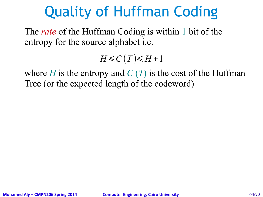### Quality of Huffman Coding

The *rate* of the Huffman Coding is within 1 bit of the entropy for the source alphabet i.e.

 $H \leq C(T) \leq H+1$ 

where *H* is the entropy and  $C(T)$  is the cost of the Huffman Tree (or the expected length of the codeword)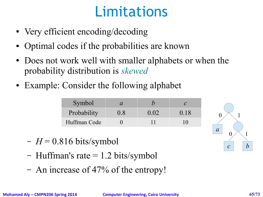### Limitations

- Very efficient encoding/decoding
- Optimal codes if the probabilities are known
- Does not work well with smaller alphabets or when the probability distribution is *skewed*
- Example: Consider the following alphabet

| Symbol       |     |      |      |
|--------------|-----|------|------|
| Probability  | 0.8 | 0.02 | 0.18 |
| Huffman Code |     |      |      |

- $-H = 0.816$  bits/symbol
- Huffman's rate  $= 1.2$  bits/symbol
- An increase of 47% of the entropy!

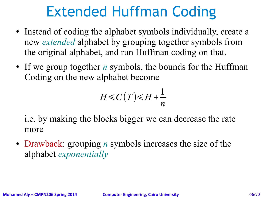### Extended Huffman Coding

- Instead of coding the alphabet symbols individually, create a new *extended* alphabet by grouping together symbols from the original alphabet, and run Huffman coding on that.
- If we group together *n* symbols, the bounds for the Huffman Coding on the new alphabet become

$$
H \leq C(T) \leq H + \frac{1}{n}
$$

i.e. by making the blocks bigger we can decrease the rate more

• Drawback: grouping *n* symbols increases the size of the alphabet *exponentially*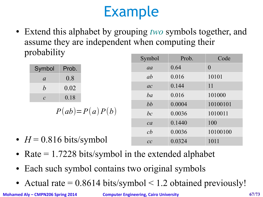• Extend this alphabet by grouping *two* symbols together, and assume they are independent when computing their probability Symbol Prob. Code

|                  |       |                  | $\cup$ y $\cup$ $\cup$ $\cup$ | 1 I VV. | Cuuc     |
|------------------|-------|------------------|-------------------------------|---------|----------|
| Symbol           | Prob. |                  | aa                            | 0.64    | $\theta$ |
| $\mathfrak{a}$   | 0.8   |                  | <i>ab</i>                     | 0.016   | 10101    |
| $\boldsymbol{b}$ | 0.02  |                  | ac                            | 0.144   | 11       |
| $\mathcal{C}$    | 0.18  |                  | ba                            | 0.016   | 101000   |
|                  |       |                  | bb                            | 0.0004  | 10100101 |
|                  |       | $P(ab)=P(a)P(b)$ | bc                            | 0.0036  | 1010011  |
|                  |       |                  | ca                            | 0.1440  | 100      |

- $H = 0.816$  bits/symbol
- Rate  $= 1.7228$  bits/symbol in the extended alphabet
- Each such symbol contains two original symbols
- Actual rate  $= 0.8614$  bits/symbol  $\leq 1.2$  obtained previously!

**Mohamed Aly – CMPN206 Spring 2014 Computer Engineering, Cairo University 67/73**

*cb* 0.0036 10100100

*cc* 0.0324 1011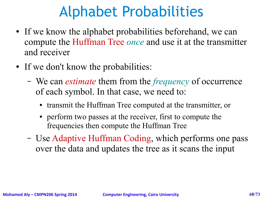### Alphabet Probabilities

- If we know the alphabet probabilities beforehand, we can compute the Huffman Tree *once* and use it at the transmitter and receiver
- If we don't know the probabilities:
	- We can *estimate* them from the *frequency* of occurrence of each symbol. In that case, we need to:
		- transmit the Huffman Tree computed at the transmitter, or
		- perform two passes at the receiver, first to compute the frequencies then compute the Huffman Tree
	- Use Adaptive Huffman Coding, which performs one pass over the data and updates the tree as it scans the input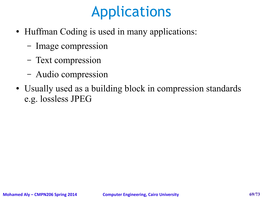### Applications

- Huffman Coding is used in many applications:
	- Image compression
	- Text compression
	- Audio compression
- Usually used as a building block in compression standards e.g. lossless JPEG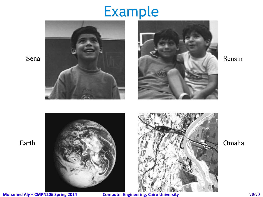







**Mohamed Aly – CMPN206 Spring 2014 Computer Engineering, Cairo University 70/73**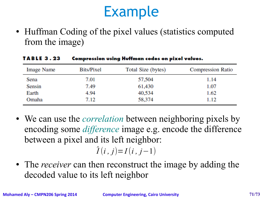• Huffman Coding of the pixel values (statistics computed from the image)

| <b>Image Name</b> | Bits/Pixel | Total Size (bytes) | <b>Compression Ratio</b> |
|-------------------|------------|--------------------|--------------------------|
| Sena              | 7.01       | 57,504             | 1.14                     |
| Sensin            | 7.49       | 61,430             | 1.07                     |
| Earth             | 4.94       | 40,534             | 1.62                     |
| Omaha             | 7.12       | 58,374             | 1.12                     |

#### **TABLE 3.23 Compression using Huffman codes on pixel values.**

- We can use the *correlation* between neighboring pixels by encoding some *difference* image e.g. encode the difference between a pixel and its left neighbor:  $\hat{I}(i, j) = I(i, j-1)$
- The *receiver* can then reconstruct the image by adding the decoded value to its left neighbor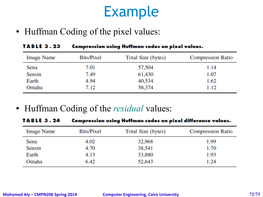• Huffman Coding of the pixel values:

| <b>TABLE 3.23</b> | Compression using Huffman codes on pixel values. |                    |                          |  |  |
|-------------------|--------------------------------------------------|--------------------|--------------------------|--|--|
| <b>Image Name</b> | Bits/Pixel                                       | Total Size (bytes) | <b>Compression Ratio</b> |  |  |
| Sena              | 7.01                                             | 57,504             | 1.14                     |  |  |
| Sensin            | 7.49                                             | 61,430             | 1.07                     |  |  |
| Earth             | 4.94                                             | 40,534             | 1.62                     |  |  |
| Omaha             | 7.12                                             | 58,374             | 1.12                     |  |  |

● Huffman Coding of the *residual* values:

| TABLE 3.24        | Compression using Huffman codes on pixel difference values. |                    |                          |  |  |
|-------------------|-------------------------------------------------------------|--------------------|--------------------------|--|--|
| <b>Image Name</b> | Bits/Pixel                                                  | Total Size (bytes) | <b>Compression Ratio</b> |  |  |
| Sena              | 4.02                                                        | 32,968             | 1.99                     |  |  |
| Sensin            | 4.70                                                        | 38,541             | 1.70                     |  |  |
| Earth             | 4.13                                                        | 33,880             | 1.93                     |  |  |
| Omaha             | 6.42                                                        | 52,643             | 1.24                     |  |  |